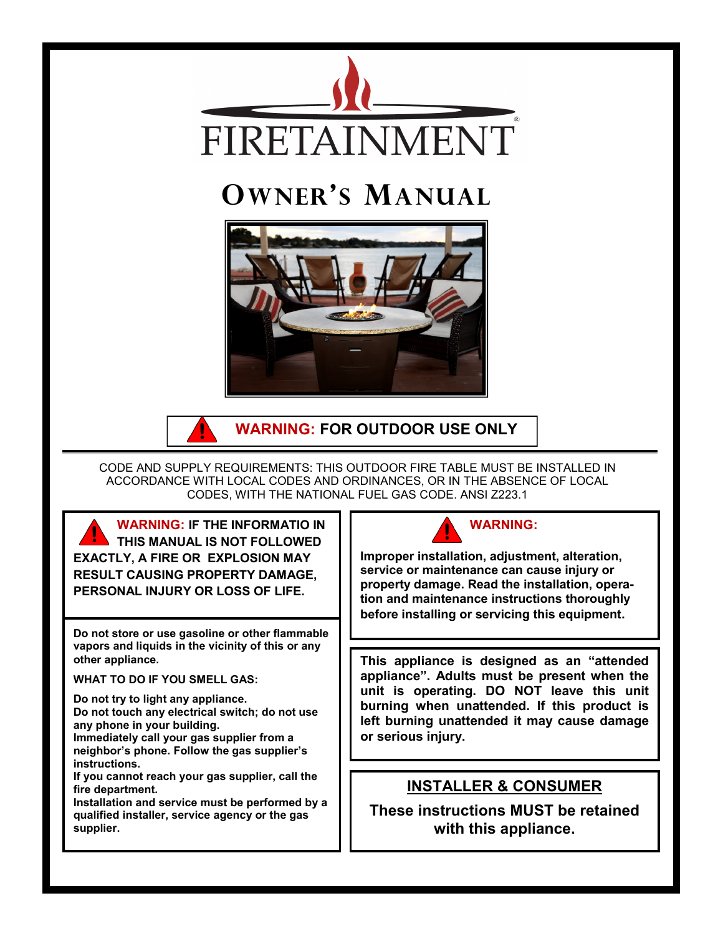

# **OWNER'S MANUAL**





**WARNING: FOR OUTDOOR USE ONLY**

CODE AND SUPPLY REQUIREMENTS: THIS OUTDOOR FIRE TABLE MUST BE INSTALLED IN ACCORDANCE WITH LOCAL CODES AND ORDINANCES, OR IN THE ABSENCE OF LOCAL CODES, WITH THE NATIONAL FUEL GAS CODE. ANSI Z223.1

**WARNING: IF THE INFORMATIO IN THIS MANUAL IS NOT FOLLOWED EXACTLY, A FIRE OR EXPLOSION MAY RESULT CAUSING PROPERTY DAMAGE, PERSONAL INJURY OR LOSS OF LIFE.**

**Do not store or use gasoline or other flammable vapors and liquids in the vicinity of this or any other appliance.**

**WHAT TO DO IF YOU SMELL GAS:**

**Do not try to light any appliance.**

**Do not touch any electrical switch; do not use any phone in your building.**

**Immediately call your gas supplier from a neighbor's phone. Follow the gas supplier's instructions.**

**If you cannot reach your gas supplier, call the fire department.**

**Installation and service must be performed by a qualified installer, service agency or the gas supplier.**



**Improper installation, adjustment, alteration, service or maintenance can cause injury or property damage. Read the installation, operation and maintenance instructions thoroughly before installing or servicing this equipment.**

**This appliance is designed as an "attended appliance". Adults must be present when the unit is operating. DO NOT leave this unit burning when unattended. If this product is left burning unattended it may cause damage or serious injury.**

### **INSTALLER & CONSUMER**

**These instructions MUST be retained with this appliance.**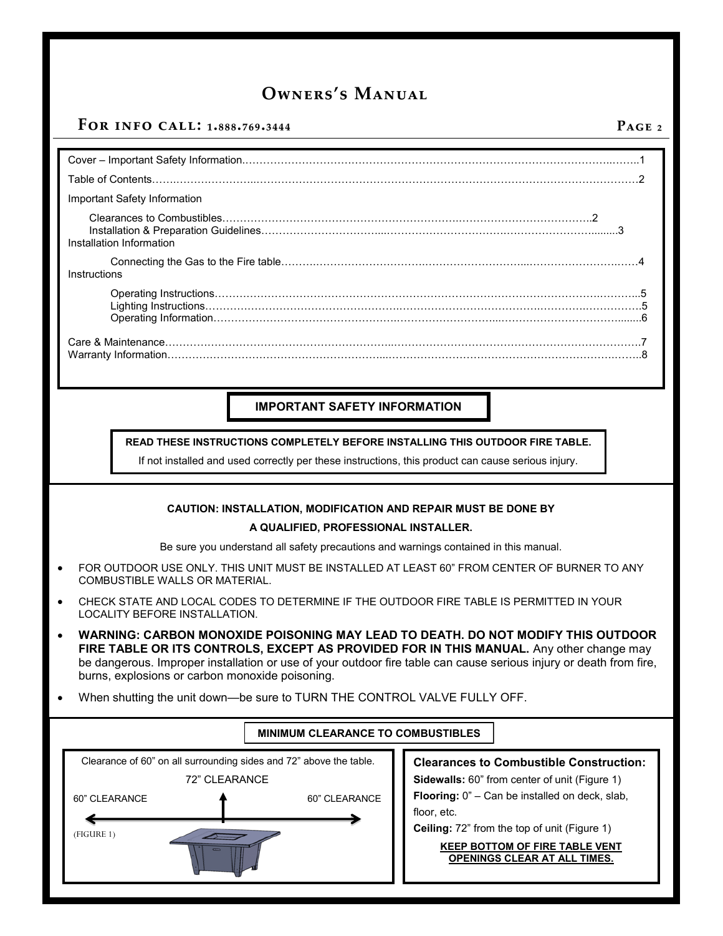### **For info call: 1.888.769.3444 Page 2**

### Cover – Important Safety Information.…………………………………………………………………………………………..……..1 Table of Contents…….…………………..………………………………………………………………………………………………2 Important Safety Information Clearances to Combustibles………………………………………………………….………………………………..2 Installation & Preparation Guidelines……………………………...…………………………….…………………….........3 Installation Information Connecting the Gas to the Fire table……….………………………….………………………...…………………….……4 Instructions Operating Instructions……………………………………………………………………………………………….………...5 Lighting Instructions……………………………………………….………………………………….………….…………….5 Operating Information…………………………………………….………………………...……………………………........6 Care & Maintenance………………………………………………………..…………………………………………………………….7 Warranty Information……………………………………………………...……………………………………………………….……..8

### **IMPORTANT SAFETY INFORMATION**

**READ THESE INSTRUCTIONS COMPLETELY BEFORE INSTALLING THIS OUTDOOR FIRE TABLE.**

If not installed and used correctly per these instructions, this product can cause serious injury.

#### **CAUTION: INSTALLATION, MODIFICATION AND REPAIR MUST BE DONE BY**

#### **A QUALIFIED, PROFESSIONAL INSTALLER.**

Be sure you understand all safety precautions and warnings contained in this manual.

- FOR OUTDOOR USE ONLY. THIS UNIT MUST BE INSTALLED AT LEAST 60" FROM CENTER OF BURNER TO ANY COMBUSTIBLE WALLS OR MATERIAL.
- CHECK STATE AND LOCAL CODES TO DETERMINE IF THE OUTDOOR FIRE TABLE IS PERMITTED IN YOUR LOCALITY BEFORE INSTALLATION.
- **WARNING: CARBON MONOXIDE POISONING MAY LEAD TO DEATH. DO NOT MODIFY THIS OUTDOOR FIRE TABLE OR ITS CONTROLS, EXCEPT AS PROVIDED FOR IN THIS MANUAL.** Any other change may be dangerous. Improper installation or use of your outdoor fire table can cause serious injury or death from fire, burns, explosions or carbon monoxide poisoning.
- When shutting the unit down—be sure to TURN THE CONTROL VALVE FULLY OFF.

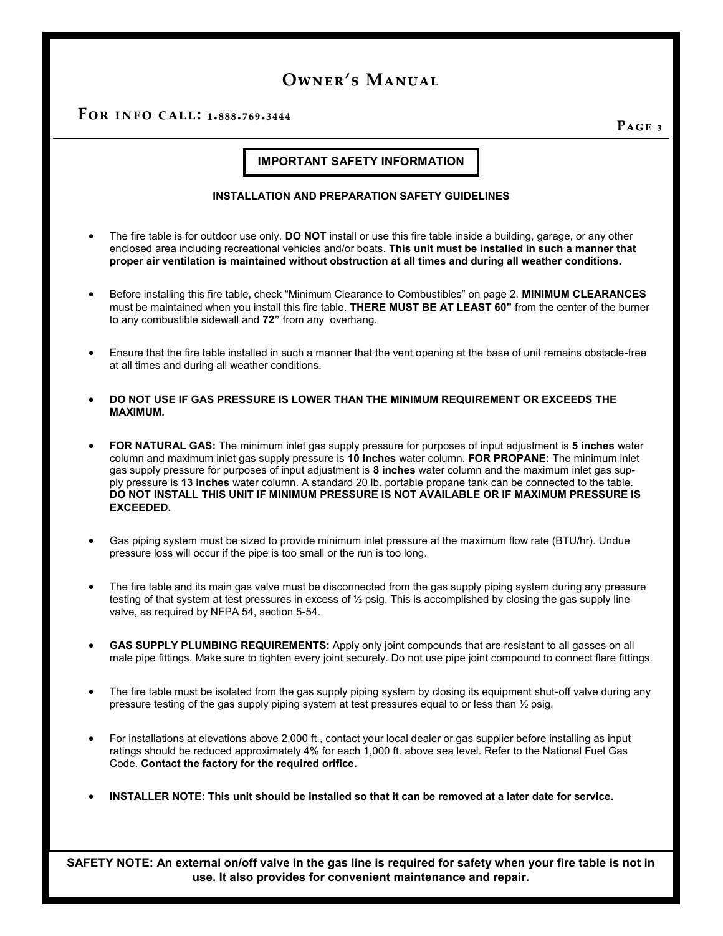**For info call: 1.888.769.3444**

**Page 3**

#### **IMPORTANT SAFETY INFORMATION**

#### **INSTALLATION AND PREPARATION SAFETY GUIDELINES**

- The fire table is for outdoor use only. **DO NOT** install or use this fire table inside a building, garage, or any other enclosed area including recreational vehicles and/or boats. **This unit must be installed in such a manner that proper air ventilation is maintained without obstruction at all times and during all weather conditions.**
- Before installing this fire table, check "Minimum Clearance to Combustibles" on page 2. **MINIMUM CLEARANCES**  must be maintained when you install this fire table. **THERE MUST BE AT LEAST 60"** from the center of the burner to any combustible sidewall and **72"** from any overhang.
- Ensure that the fire table installed in such a manner that the vent opening at the base of unit remains obstacle-free at all times and during all weather conditions.
- **DO NOT USE IF GAS PRESSURE IS LOWER THAN THE MINIMUM REQUIREMENT OR EXCEEDS THE MAXIMUM.**
- **FOR NATURAL GAS:** The minimum inlet gas supply pressure for purposes of input adjustment is **5 inches** water column and maximum inlet gas supply pressure is **10 inches** water column. **FOR PROPANE:** The minimum inlet gas supply pressure for purposes of input adjustment is **8 inches** water column and the maximum inlet gas supply pressure is **13 inches** water column. A standard 20 lb. portable propane tank can be connected to the table. **DO NOT INSTALL THIS UNIT IF MINIMUM PRESSURE IS NOT AVAILABLE OR IF MAXIMUM PRESSURE IS EXCEEDED.**
- Gas piping system must be sized to provide minimum inlet pressure at the maximum flow rate (BTU/hr). Undue pressure loss will occur if the pipe is too small or the run is too long.
- The fire table and its main gas valve must be disconnected from the gas supply piping system during any pressure testing of that system at test pressures in excess of ½ psig. This is accomplished by closing the gas supply line valve, as required by NFPA 54, section 5-54.
- **GAS SUPPLY PLUMBING REQUIREMENTS:** Apply only joint compounds that are resistant to all gasses on all male pipe fittings. Make sure to tighten every joint securely. Do not use pipe joint compound to connect flare fittings.
- The fire table must be isolated from the gas supply piping system by closing its equipment shut-off valve during any pressure testing of the gas supply piping system at test pressures equal to or less than  $\frac{1}{2}$  psig.
- For installations at elevations above 2,000 ft., contact your local dealer or gas supplier before installing as input ratings should be reduced approximately 4% for each 1,000 ft. above sea level. Refer to the National Fuel Gas Code. **Contact the factory for the required orifice.**
- **INSTALLER NOTE: This unit should be installed so that it can be removed at a later date for service.**

**SAFETY NOTE: An external on/off valve in the gas line is required for safety when your fire table is not in use. It also provides for convenient maintenance and repair.**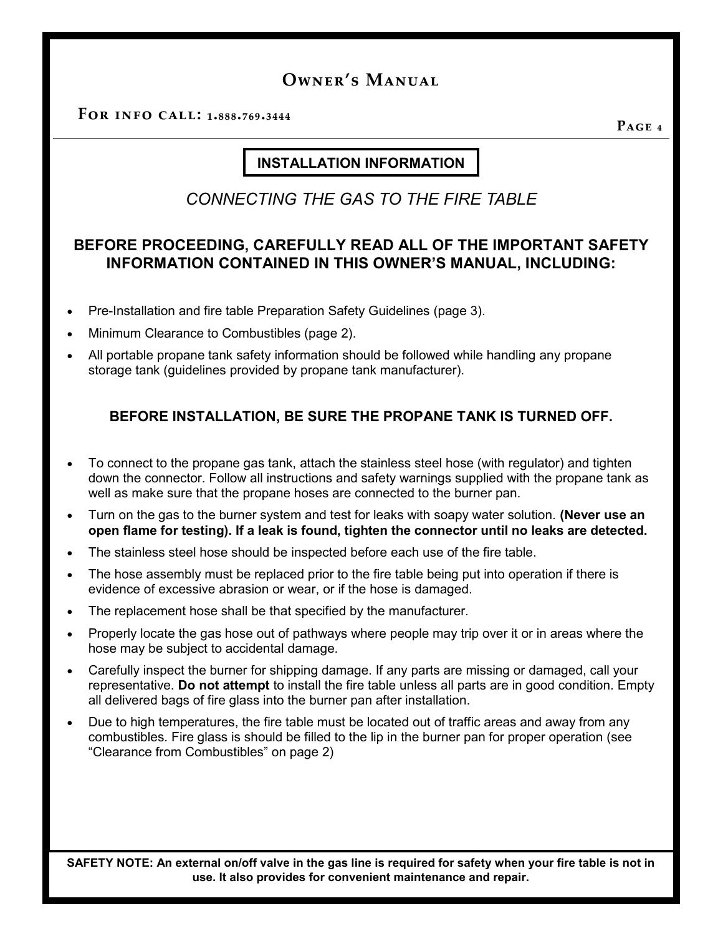**For info call: 1.888.769.3444**

**Page 4**

### **INSTALLATION INFORMATION**

*CONNECTING THE GAS TO THE FIRE TABLE*

### **BEFORE PROCEEDING, CAREFULLY READ ALL OF THE IMPORTANT SAFETY INFORMATION CONTAINED IN THIS OWNER'S MANUAL, INCLUDING:**

- Pre-Installation and fire table Preparation Safety Guidelines (page 3).
- Minimum Clearance to Combustibles (page 2).
- All portable propane tank safety information should be followed while handling any propane storage tank (guidelines provided by propane tank manufacturer).

### **BEFORE INSTALLATION, BE SURE THE PROPANE TANK IS TURNED OFF.**

- To connect to the propane gas tank, attach the stainless steel hose (with regulator) and tighten down the connector. Follow all instructions and safety warnings supplied with the propane tank as well as make sure that the propane hoses are connected to the burner pan.
- Turn on the gas to the burner system and test for leaks with soapy water solution. **(Never use an open flame for testing). If a leak is found, tighten the connector until no leaks are detected.**
- The stainless steel hose should be inspected before each use of the fire table.
- The hose assembly must be replaced prior to the fire table being put into operation if there is evidence of excessive abrasion or wear, or if the hose is damaged.
- The replacement hose shall be that specified by the manufacturer.
- Properly locate the gas hose out of pathways where people may trip over it or in areas where the hose may be subject to accidental damage.
- Carefully inspect the burner for shipping damage. If any parts are missing or damaged, call your representative. **Do not attempt** to install the fire table unless all parts are in good condition. Empty all delivered bags of fire glass into the burner pan after installation.
- Due to high temperatures, the fire table must be located out of traffic areas and away from any combustibles. Fire glass is should be filled to the lip in the burner pan for proper operation (see "Clearance from Combustibles" on page 2)

**SAFETY NOTE: An external on/off valve in the gas line is required for safety when your fire table is not in use. It also provides for convenient maintenance and repair.**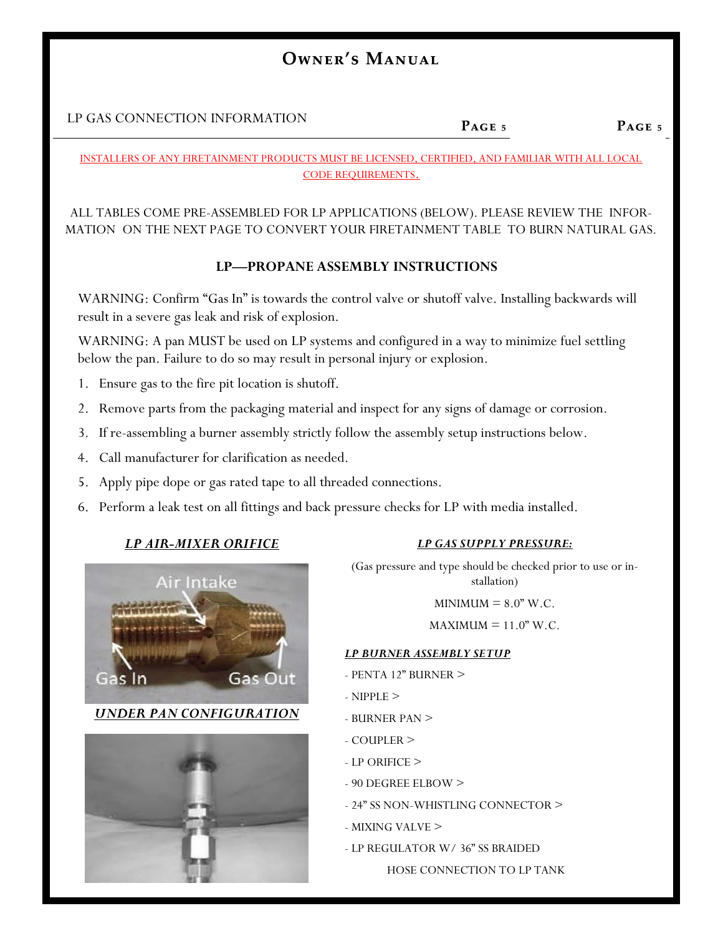### LP GAS CONNECTION INFORMATION

#### **Page 5 Page 5**

#### INSTALLERS OF ANY FIRETAINMENT PRODUCTS MUST BE LICENSED, CERTIFIED, AND FAMILIAR WITH ALL LOCAL CODE REQUIREMENTS.

ALL TABLES COME PRE-ASSEMBLED FOR LP APPLICATIONS (BELOW). PLEASE REVIEW THE INFOR-MATION ON THE NEXT PAGE TO CONVERT YOUR FIRETAINMENT TABLE TO BURN NATURAL GAS.

### **LP—PROPANE ASSEMBLY INSTRUCTIONS**

WARNING: Confirm "Gas In" is towards the control valve or shutoff valve. Installing backwards will result in a severe gas leak and risk of explosion.

WARNING: A pan MUST be used on LP systems and configured in a way to minimize fuel settling below the pan. Failure to do so may result in personal injury or explosion.

- 1. Ensure gas to the fire pit location is shutoff.
- 2. Remove parts from the packaging material and inspect for any signs of damage or corrosion.
- 3. If re-assembling a burner assembly strictly follow the assembly setup instructions below.
- 4. Call manufacturer for clarification as needed.
- 5. Apply pipe dope or gas rated tape to all threaded connections.
- 6. Perform a leak test on all fittings and back pressure checks for LP with media installed.

### *LP AIR-MIXER ORIFICE*



*UNDER PAN CONFIGURATION*



### *LP GAS SUPPLY PRESSURE:*

(Gas pressure and type should be checked prior to use or installation)

 $MINIMUM = 8.0" W.C.$ 

 $MAXIMUM = 11.0" W.C.$ 

### *LP BURNER ASSEMBLY SETUP*

- PENTA 12" BURNER >
- NIPPLE >
- BURNER PAN >
- COUPLER >
- LP ORIFICE >
- 90 DEGREE ELBOW >
- 24" SS NON-WHISTLING CONNECTOR >
- MIXING VALVE >
- LP REGULATOR W/ 36" SS BRAIDED

HOSE CONNECTION TO LP TANK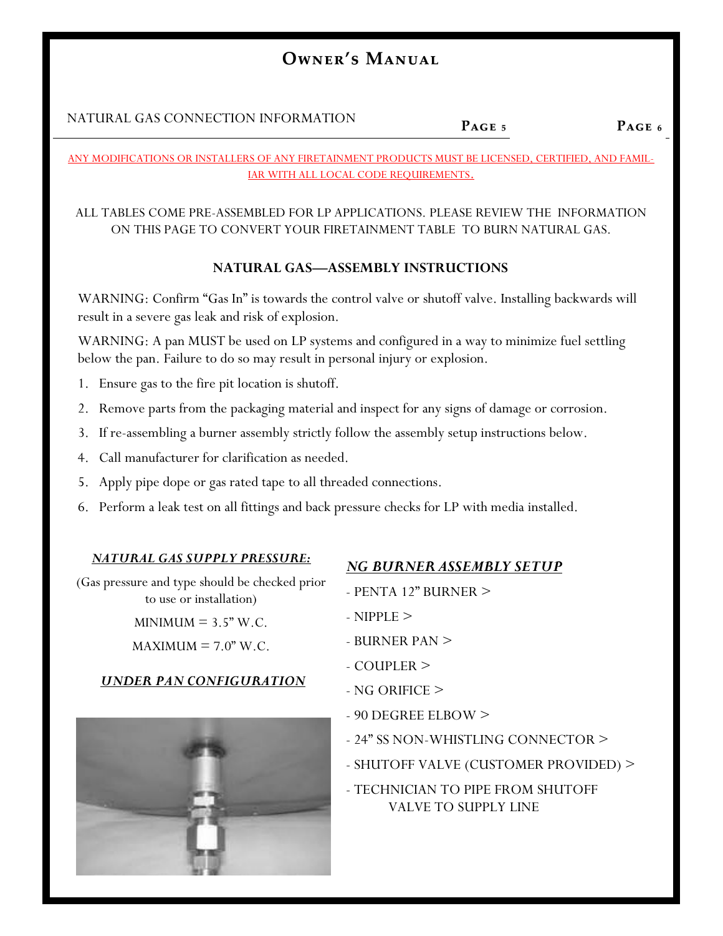NATURAL GAS CONNECTION INFORMATION

**Page 5**

ANY MODIFICATIONS OR INSTALLERS OF ANY FIRETAINMENT PRODUCTS MUST BE LICENSED, CERTIFIED, AND FAMIL-IAR WITH ALL LOCAL CODE REQUIREMENTS.

### ALL TABLES COME PRE-ASSEMBLED FOR LP APPLICATIONS. PLEASE REVIEW THE INFORMATION ON THIS PAGE TO CONVERT YOUR FIRETAINMENT TABLE TO BURN NATURAL GAS.

### **NATURAL GAS—ASSEMBLY INSTRUCTIONS**

WARNING: Confirm "Gas In" is towards the control valve or shutoff valve. Installing backwards will result in a severe gas leak and risk of explosion.

WARNING: A pan MUST be used on LP systems and configured in a way to minimize fuel settling below the pan. Failure to do so may result in personal injury or explosion.

- 1. Ensure gas to the fire pit location is shutoff.
- 2. Remove parts from the packaging material and inspect for any signs of damage or corrosion.
- 3. If re-assembling a burner assembly strictly follow the assembly setup instructions below.
- 4. Call manufacturer for clarification as needed.
- 5. Apply pipe dope or gas rated tape to all threaded connections.
- 6. Perform a leak test on all fittings and back pressure checks for LP with media installed.

### *NATURAL GAS SUPPLY PRESSURE:*

### *NG BURNER ASSEMBLY SETUP*

(Gas pressure and type should be checked prior to use or installation)

 $MINIMUM = 3.5" W.C.$ 

 $MAXIMUM = 7.0" W.C.$ 

### *UNDER PAN CONFIGURATION*



### - PENTA 12" BURNER >

- NIPPLE >
- BURNER PAN >
- COUPLER >
- NG ORIFICE >
- 90 DEGREE ELBOW >
- 24" SS NON-WHISTLING CONNECTOR >
- SHUTOFF VALVE (CUSTOMER PROVIDED) >
- TECHNICIAN TO PIPE FROM SHUTOFF VALVE TO SUPPLY LINE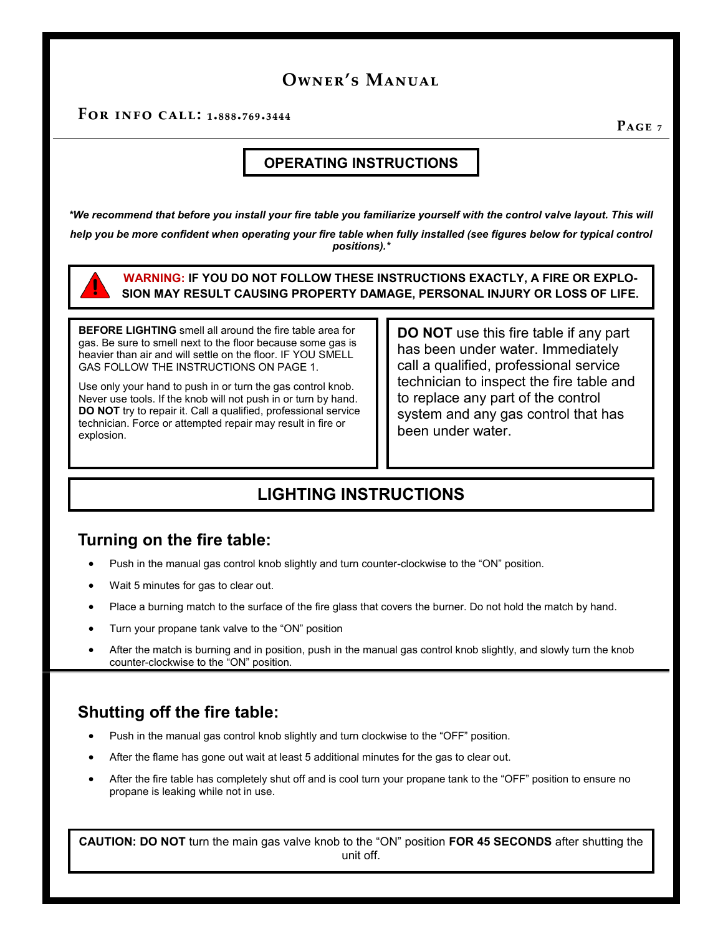**For info call: 1.888.769.3444**

**Page 7**

### **OPERATING INSTRUCTIONS**

*\*We recommend that before you install your fire table you familiarize yourself with the control valve layout. This will* help you be more confident when operating your fire table when fully installed (see figures below for typical control *positions).\**



**BEFORE LIGHTING** smell all around the fire table area for gas. Be sure to smell next to the floor because some gas is heavier than air and will settle on the floor. IF YOU SMELL GAS FOLLOW THE INSTRUCTIONS ON PAGE 1.

Use only your hand to push in or turn the gas control knob. Never use tools. If the knob will not push in or turn by hand. **DO NOT** try to repair it. Call a qualified, professional service technician. Force or attempted repair may result in fire or explosion.

**DO NOT** use this fire table if any part has been under water. Immediately call a qualified, professional service technician to inspect the fire table and to replace any part of the control system and any gas control that has been under water.

### **LIGHTING INSTRUCTIONS**

### **Turning on the fire table:**

- Push in the manual gas control knob slightly and turn counter-clockwise to the "ON" position.
- Wait 5 minutes for gas to clear out.
- Place a burning match to the surface of the fire glass that covers the burner. Do not hold the match by hand.
- Turn your propane tank valve to the "ON" position
- After the match is burning and in position, push in the manual gas control knob slightly, and slowly turn the knob counter-clockwise to the "ON" position.

### **Shutting off the fire table:**

- Push in the manual gas control knob slightly and turn clockwise to the "OFF" position.
- After the flame has gone out wait at least 5 additional minutes for the gas to clear out.
- After the fire table has completely shut off and is cool turn your propane tank to the "OFF" position to ensure no propane is leaking while not in use.

**CAUTION: DO NOT** turn the main gas valve knob to the "ON" position **FOR 45 SECONDS** after shutting the unit off.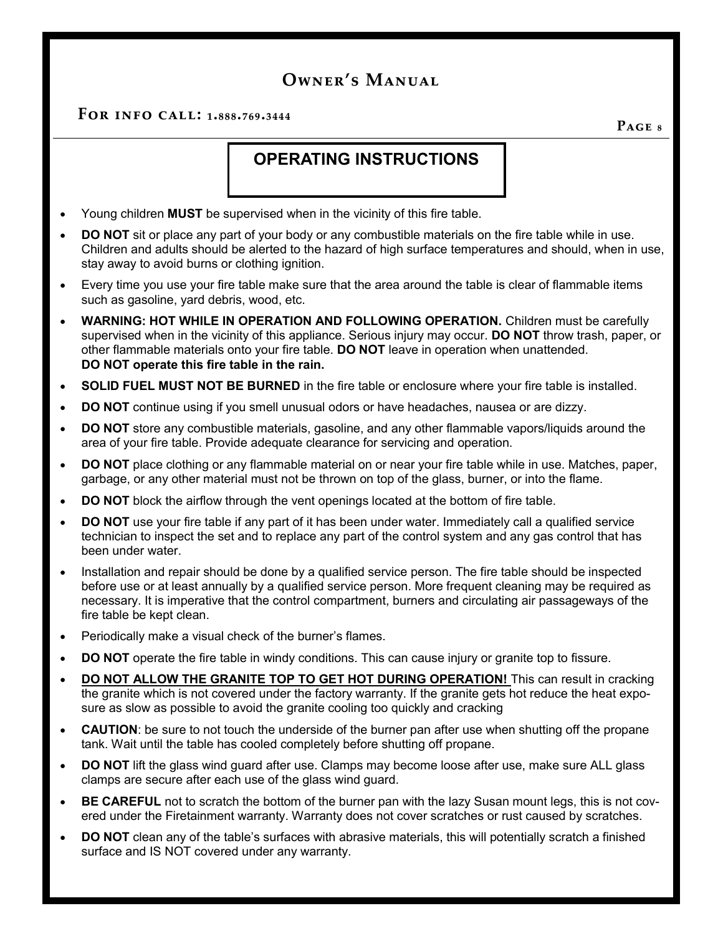**For info call: 1.888.769.3444**

**Page 8**

### **OPERATING INSTRUCTIONS**

- Young children **MUST** be supervised when in the vicinity of this fire table.
- **DO NOT** sit or place any part of your body or any combustible materials on the fire table while in use. Children and adults should be alerted to the hazard of high surface temperatures and should, when in use, stay away to avoid burns or clothing ignition.
- Every time you use your fire table make sure that the area around the table is clear of flammable items such as gasoline, yard debris, wood, etc.
- **WARNING: HOT WHILE IN OPERATION AND FOLLOWING OPERATION.** Children must be carefully supervised when in the vicinity of this appliance. Serious injury may occur. **DO NOT** throw trash, paper, or other flammable materials onto your fire table. **DO NOT** leave in operation when unattended. **DO NOT operate this fire table in the rain.**
- **SOLID FUEL MUST NOT BE BURNED** in the fire table or enclosure where your fire table is installed.
- **DO NOT** continue using if you smell unusual odors or have headaches, nausea or are dizzy.
- **DO NOT** store any combustible materials, gasoline, and any other flammable vapors/liquids around the area of your fire table. Provide adequate clearance for servicing and operation.
- **DO NOT** place clothing or any flammable material on or near your fire table while in use. Matches, paper, garbage, or any other material must not be thrown on top of the glass, burner, or into the flame.
- **DO NOT** block the airflow through the vent openings located at the bottom of fire table.
- **DO NOT** use your fire table if any part of it has been under water. Immediately call a qualified service technician to inspect the set and to replace any part of the control system and any gas control that has been under water.
- Installation and repair should be done by a qualified service person. The fire table should be inspected before use or at least annually by a qualified service person. More frequent cleaning may be required as necessary. It is imperative that the control compartment, burners and circulating air passageways of the fire table be kept clean.
- Periodically make a visual check of the burner's flames.
- **DO NOT** operate the fire table in windy conditions. This can cause injury or granite top to fissure.
- **DO NOT ALLOW THE GRANITE TOP TO GET HOT DURING OPERATION!** This can result in cracking the granite which is not covered under the factory warranty. If the granite gets hot reduce the heat exposure as slow as possible to avoid the granite cooling too quickly and cracking
- **CAUTION**: be sure to not touch the underside of the burner pan after use when shutting off the propane tank. Wait until the table has cooled completely before shutting off propane.
- **DO NOT** lift the glass wind guard after use. Clamps may become loose after use, make sure ALL glass clamps are secure after each use of the glass wind guard.
- **BE CAREFUL** not to scratch the bottom of the burner pan with the lazy Susan mount legs, this is not covered under the Firetainment warranty. Warranty does not cover scratches or rust caused by scratches.
- **DO NOT** clean any of the table's surfaces with abrasive materials, this will potentially scratch a finished surface and IS NOT covered under any warranty.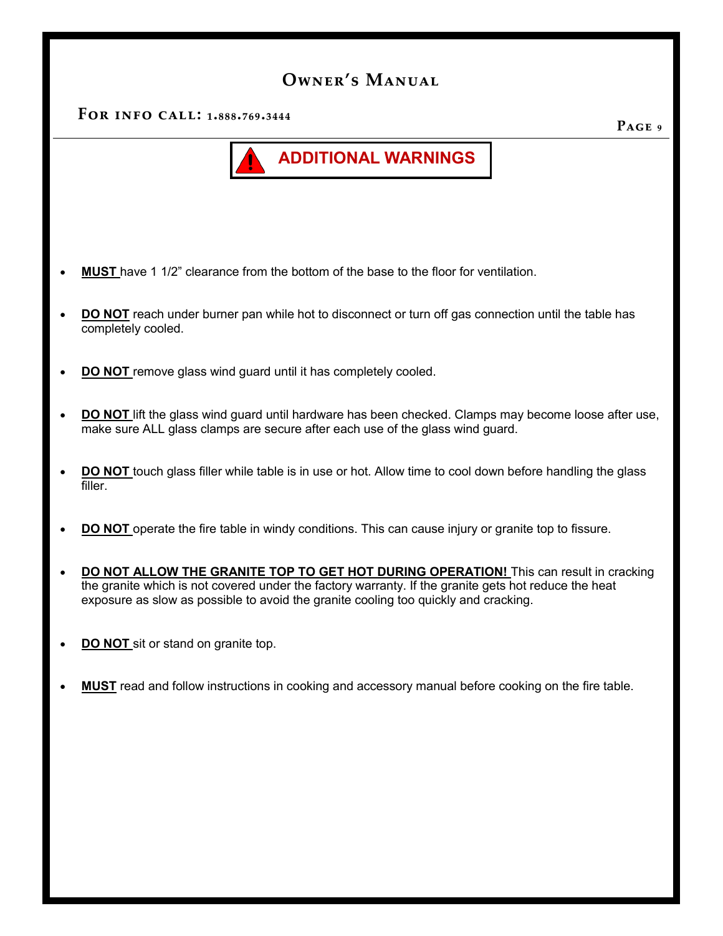**For info call: 1.888.769.3444**



- **MUST** have 1 1/2" clearance from the bottom of the base to the floor for ventilation.
- **DO NOT** reach under burner pan while hot to disconnect or turn off gas connection until the table has completely cooled.
- **DO NOT** remove glass wind guard until it has completely cooled.
- **DO NOT** lift the glass wind guard until hardware has been checked. Clamps may become loose after use, make sure ALL glass clamps are secure after each use of the glass wind guard.
- **DO NOT** touch glass filler while table is in use or hot. Allow time to cool down before handling the glass filler.
- **DO NOT** operate the fire table in windy conditions. This can cause injury or granite top to fissure.
- **DO NOT ALLOW THE GRANITE TOP TO GET HOT DURING OPERATION!** This can result in cracking the granite which is not covered under the factory warranty. If the granite gets hot reduce the heat exposure as slow as possible to avoid the granite cooling too quickly and cracking.
- **DO NOT** sit or stand on granite top.
- **MUST** read and follow instructions in cooking and accessory manual before cooking on the fire table.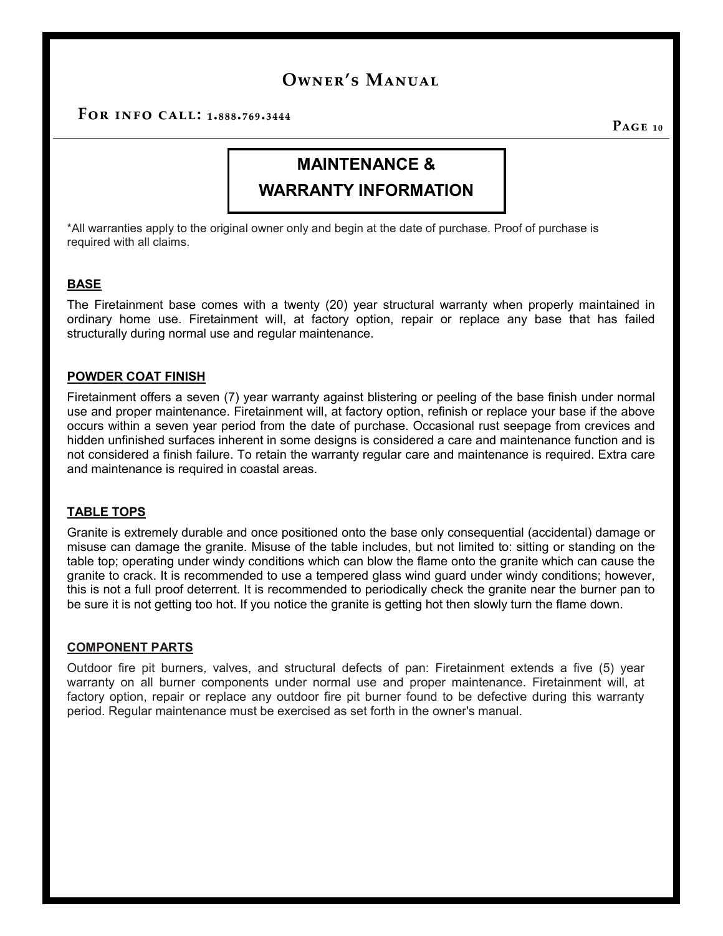**For info call: 1.888.769.3444**

**Page 10**

## **MAINTENANCE &**

### **WARRANTY INFORMATION**

\*All warranties apply to the original owner only and begin at the date of purchase. Proof of purchase is required with all claims.

#### **BASE**

The Firetainment base comes with a twenty (20) year structural warranty when properly maintained in ordinary home use. Firetainment will, at factory option, repair or replace any base that has failed structurally during normal use and regular maintenance.

#### **POWDER COAT FINISH**

Firetainment offers a seven (7) year warranty against blistering or peeling of the base finish under normal use and proper maintenance. Firetainment will, at factory option, refinish or replace your base if the above occurs within a seven year period from the date of purchase. Occasional rust seepage from crevices and hidden unfinished surfaces inherent in some designs is considered a care and maintenance function and is not considered a finish failure. To retain the warranty regular care and maintenance is required. Extra care and maintenance is required in coastal areas.

#### **TABLE TOPS**

Granite is extremely durable and once positioned onto the base only consequential (accidental) damage or misuse can damage the granite. Misuse of the table includes, but not limited to: sitting or standing on the table top; operating under windy conditions which can blow the flame onto the granite which can cause the granite to crack. It is recommended to use a tempered glass wind guard under windy conditions; however, this is not a full proof deterrent. It is recommended to periodically check the granite near the burner pan to be sure it is not getting too hot. If you notice the granite is getting hot then slowly turn the flame down.

#### **COMPONENT PARTS**

Outdoor fire pit burners, valves, and structural defects of pan: Firetainment extends a five (5) year warranty on all burner components under normal use and proper maintenance. Firetainment will, at factory option, repair or replace any outdoor fire pit burner found to be defective during this warranty period. Regular maintenance must be exercised as set forth in the owner's manual.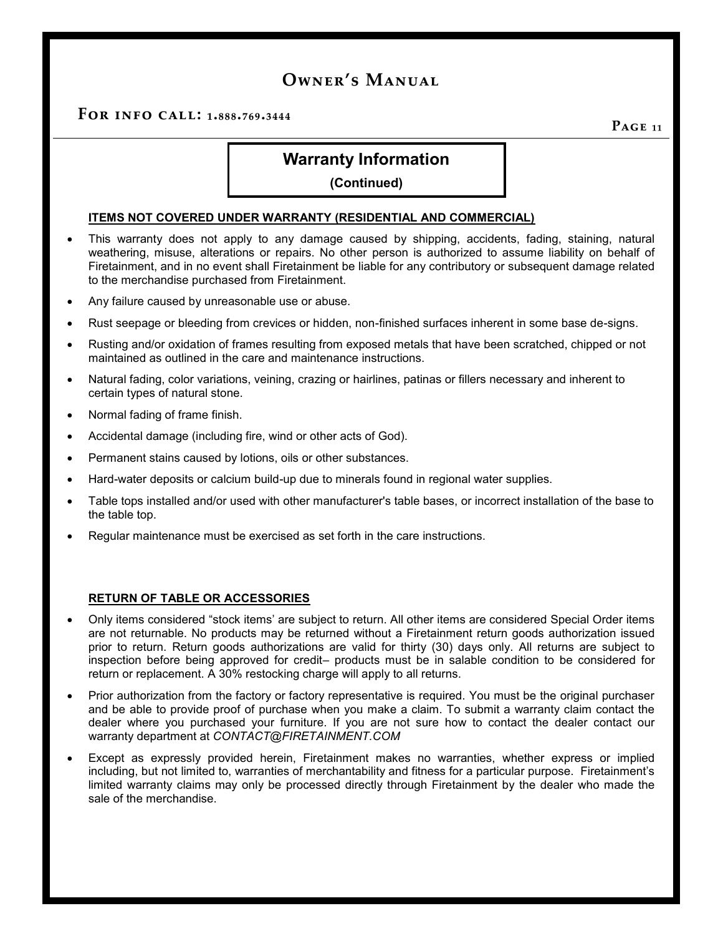**For info call: 1.888.769.3444**

**Page 11**

### **Warranty Information**

#### **(Continued)**

#### **ITEMS NOT COVERED UNDER WARRANTY (RESIDENTIAL AND COMMERCIAL)**

- This warranty does not apply to any damage caused by shipping, accidents, fading, staining, natural weathering, misuse, alterations or repairs. No other person is authorized to assume liability on behalf of Firetainment, and in no event shall Firetainment be liable for any contributory or subsequent damage related to the merchandise purchased from Firetainment.
- Any failure caused by unreasonable use or abuse.
- Rust seepage or bleeding from crevices or hidden, non-finished surfaces inherent in some base de-signs.
- Rusting and/or oxidation of frames resulting from exposed metals that have been scratched, chipped or not maintained as outlined in the care and maintenance instructions.
- Natural fading, color variations, veining, crazing or hairlines, patinas or fillers necessary and inherent to certain types of natural stone.
- Normal fading of frame finish.
- Accidental damage (including fire, wind or other acts of God).
- Permanent stains caused by lotions, oils or other substances.
- Hard-water deposits or calcium build-up due to minerals found in regional water supplies.
- Table tops installed and/or used with other manufacturer's table bases, or incorrect installation of the base to the table top.
- Regular maintenance must be exercised as set forth in the care instructions.

#### **RETURN OF TABLE OR ACCESSORIES**

- Only items considered "stock items' are subject to return. All other items are considered Special Order items are not returnable. No products may be returned without a Firetainment return goods authorization issued prior to return. Return goods authorizations are valid for thirty (30) days only. All returns are subject to inspection before being approved for credit– products must be in salable condition to be considered for return or replacement. A 30% restocking charge will apply to all returns.
- Prior authorization from the factory or factory representative is required. You must be the original purchaser and be able to provide proof of purchase when you make a claim. To submit a warranty claim contact the dealer where you purchased your furniture. If you are not sure how to contact the dealer contact our warranty department at *CONTACT@FIRETAINMENT.COM*
- Except as expressly provided herein, Firetainment makes no warranties, whether express or implied including, but not limited to, warranties of merchantability and fitness for a particular purpose. Firetainment's limited warranty claims may only be processed directly through Firetainment by the dealer who made the sale of the merchandise.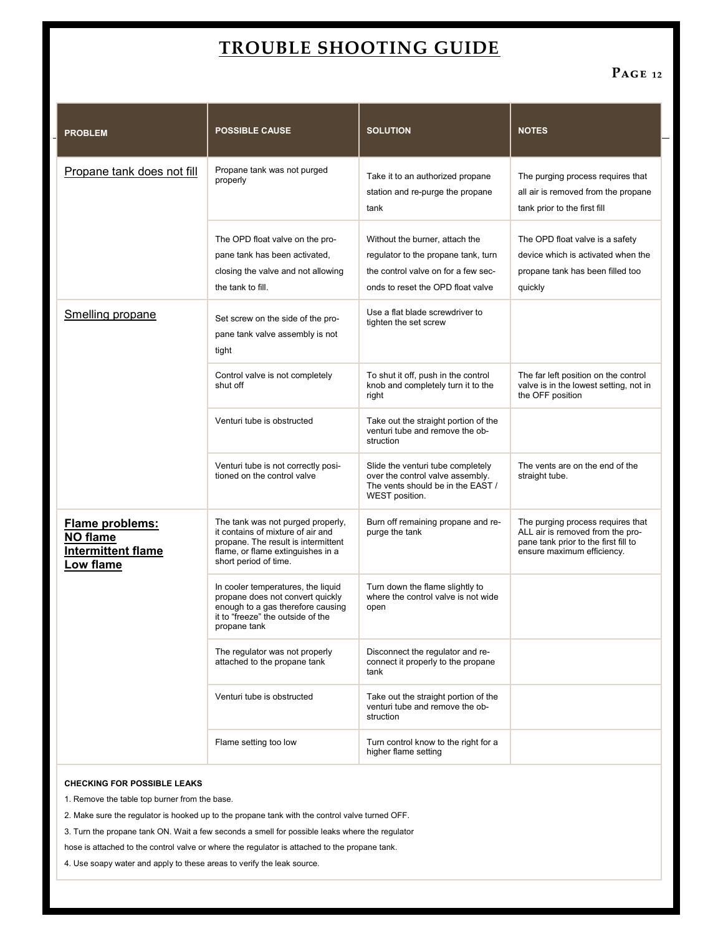## **TROUBLE SHOOTING GUIDE**

### **Page 12**

| <b>PROBLEM</b>                                                        | <b>POSSIBLE CAUSE</b>                                                                                                                                                       | <b>SOLUTION</b>                                                                                                                                   | <b>NOTES</b>                                                                                                                                |
|-----------------------------------------------------------------------|-----------------------------------------------------------------------------------------------------------------------------------------------------------------------------|---------------------------------------------------------------------------------------------------------------------------------------------------|---------------------------------------------------------------------------------------------------------------------------------------------|
| Propane tank does not fill                                            | Propane tank was not purged<br>properly                                                                                                                                     | Take it to an authorized propane<br>station and re-purge the propane<br>tank                                                                      | The purging process requires that<br>all air is removed from the propane<br>tank prior to the first fill                                    |
|                                                                       | The OPD float valve on the pro-<br>pane tank has been activated,<br>closing the valve and not allowing<br>the tank to fill.                                                 | Without the burner, attach the<br>regulator to the propane tank, turn<br>the control valve on for a few sec-<br>onds to reset the OPD float valve | The OPD float valve is a safety<br>device which is activated when the<br>propane tank has been filled too<br>quickly                        |
| Smelling propane                                                      | Set screw on the side of the pro-<br>pane tank valve assembly is not<br>tight                                                                                               | Use a flat blade screwdriver to<br>tighten the set screw                                                                                          |                                                                                                                                             |
|                                                                       | Control valve is not completely<br>shut off                                                                                                                                 | To shut it off, push in the control<br>knob and completely turn it to the<br>right                                                                | The far left position on the control<br>valve is in the lowest setting, not in<br>the OFF position                                          |
|                                                                       | Venturi tube is obstructed                                                                                                                                                  | Take out the straight portion of the<br>venturi tube and remove the ob-<br>struction                                                              |                                                                                                                                             |
|                                                                       | Venturi tube is not correctly posi-<br>tioned on the control valve                                                                                                          | Slide the venturi tube completely<br>over the control valve assembly.<br>The vents should be in the EAST /<br>WEST position.                      | The vents are on the end of the<br>straight tube.                                                                                           |
| Flame problems:<br>NO flame<br><b>Intermittent flame</b><br>Low flame | The tank was not purged properly,<br>it contains of mixture of air and<br>propane. The result is intermittent<br>flame, or flame extinguishes in a<br>short period of time. | Burn off remaining propane and re-<br>purge the tank                                                                                              | The purging process requires that<br>ALL air is removed from the pro-<br>pane tank prior to the first fill to<br>ensure maximum efficiency. |
|                                                                       | In cooler temperatures, the liquid<br>propane does not convert quickly<br>enough to a gas therefore causing<br>it to "freeze" the outside of the<br>propane tank            | Turn down the flame slightly to<br>where the control valve is not wide<br>open                                                                    |                                                                                                                                             |
|                                                                       | The regulator was not properly<br>attached to the propane tank                                                                                                              | Disconnect the regulator and re-<br>connect it properly to the propane<br>tank                                                                    |                                                                                                                                             |
|                                                                       | Venturi tube is obstructed                                                                                                                                                  | Take out the straight portion of the<br>venturi tube and remove the ob-<br>struction                                                              |                                                                                                                                             |
|                                                                       | Flame setting too low                                                                                                                                                       | Turn control know to the right for a<br>higher flame setting                                                                                      |                                                                                                                                             |

#### **CHECKING FOR POSSIBLE LEAKS**

1. Remove the table top burner from the base.

2. Make sure the regulator is hooked up to the propane tank with the control valve turned OFF.

3. Turn the propane tank ON. Wait a few seconds a smell for possible leaks where the regulator

hose is attached to the control valve or where the regulator is attached to the propane tank.

4. Use soapy water and apply to these areas to verify the leak source.